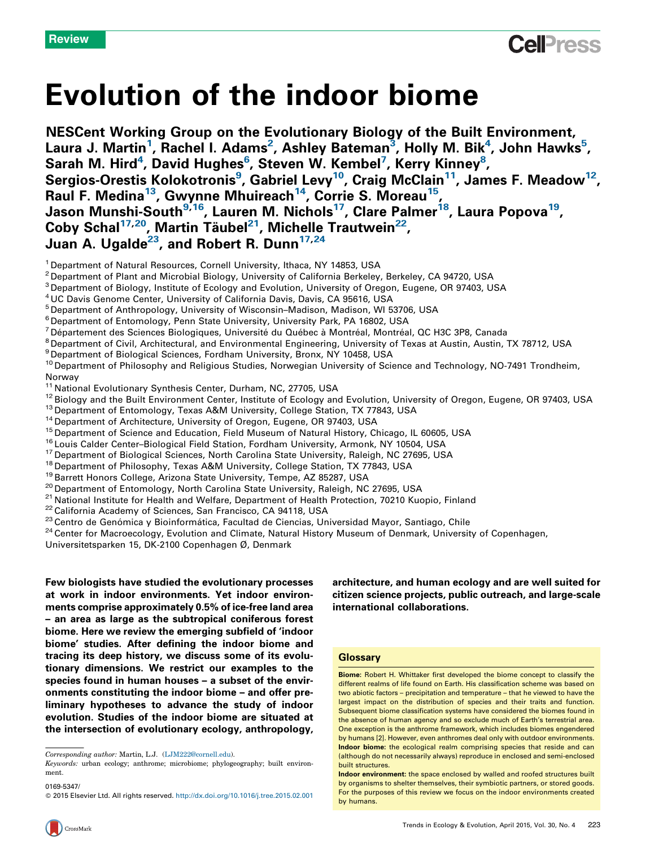# <span id="page-0-0"></span>Evolution of the indoor biome

NESCent Working Group on the Evolutionary Biology of the Built Environment, Laura J. Martin<sup>1</sup>, Rachel I. Adams<sup>2</sup>, Ashley Bateman<sup>3</sup>, Holly M. Bik<sup>4</sup>, John Hawks<sup>5</sup>, Sarah M. Hird<sup>4</sup>, David Hughes<sup>6</sup>, Steven W. Kembel<sup>7</sup>, Kerry Kinney<sup>8</sup>, Sergios-Orestis Kolokotronis<sup>9</sup>, Gabriel Levy<sup>10</sup>, Craig McClain<sup>11</sup>, James F. Meadow<sup>12</sup>, Raul F. Medina<sup>13</sup>, Gwynne Mhuireach<sup>14</sup>, Corrie S. Moreau<sup>15</sup>, Jason Munshi-South<sup>9,16</sup>, Lauren M. Nichols<sup>17</sup>, Clare Palmer<sup>18</sup>, Laura Popova<sup>19</sup>, Coby Schal<sup>17,20</sup>, Martin Täubel<sup>21</sup>, Michelle Trautwein<sup>22</sup>, Juan A. Ugalde<sup>23</sup>, and Robert R. Dunn<sup>17,24</sup>

- 
- 
- 
- 
- 
- 
- 
- <sup>1</sup> Department of Natural Resources, Cornell University, Ithaca, NY 14853, USA<br>
<sup>2</sup> Department of Plant and Microbial Biology, University of California Berkeley, Berkeley, CA 94720, USA<br>
<sup>3</sup> Department of Biology, Institu
- 

- Norway<br><sup>11</sup> National Evolutionary Synthesis Center, Durham, NC, 27705, USA
- <sup>11</sup> National Evolutionary Synthesis Center, Durham, NC, 27705, USA<br><sup>12</sup> Biology and the Built Environment Center, Institute of Ecology and Evolution, University of Oregon, Eugene, OR 97403, USA<br><sup>13</sup> Department of Entomolo
- 
- 
- 
- 
- 
- 
- 
- 
- 
- 
- 
- 
- Universitetsparken 15, DK-2100 Copenhagen Ø, Denmark

Few biologists have studied the evolutionary processes at work in indoor environments. Yet indoor environments comprise approximately 0.5% of ice-free land area – an area as large as the subtropical coniferous forest biome. Here we review the emerging subfield of 'indoor biome' studies. After defining the indoor biome and tracing its deep history, we discuss some of its evolutionary dimensions. We restrict our examples to the species found in human houses – a subset of the environments constituting the indoor biome – and offer preliminary hypotheses to advance the study of indoor evolution. Studies of the indoor biome are situated at the intersection of evolutionary ecology, anthropology,

0169-5347/

© 2015 Elsevier Ltd. All rights reserved. <http://dx.doi.org/10.1016/j.tree.2015.02.001>

architecture, and human ecology and are well suited for citizen science projects, public outreach, and large-scale international collaborations.

# **Glossary**

Biome: Robert H. Whittaker first developed the biome concept to classify the different realms of life found on Earth. His classification scheme was based on two abiotic factors – precipitation and temperature – that he viewed to have the largest impact on the distribution of species and their traits and function. Subsequent biome classification systems have considered the biomes found in the absence of human agency and so exclude much of Earth's terrestrial area. One exception is the anthrome framework, which includes biomes engendered by humans [2]. However, even anthromes deal only with outdoor environments. Indoor biome: the ecological realm comprising species that reside and can (although do not necessarily always) reproduce in enclosed and semi-enclosed built structures.

Indoor environment: the space enclosed by walled and roofed structures built by organisms to shelter themselves, their symbiotic partners, or stored goods. For the purposes of this review we focus on the indoor environments created by humans

Corresponding author: Martin, L.J. [\(LJM222@cornell.edu](mailto:LJM222@cornell.edu)).

Keywords: urban ecology; anthrome; microbiome; phylogeography; built environment.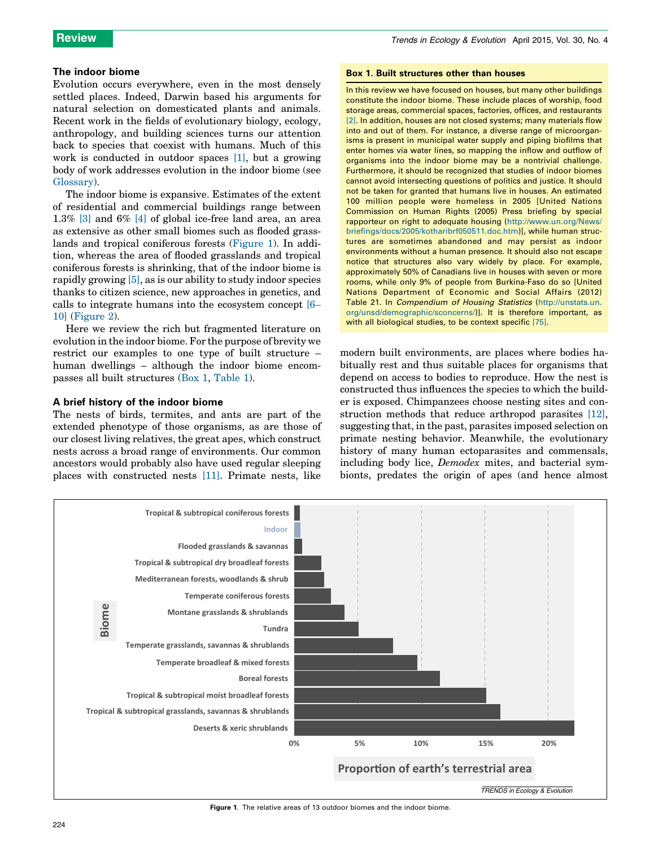# The indoor biome

Evolution occurs everywhere, even in the most densely settled places. Indeed, Darwin based his arguments for natural selection on domesticated plants and animals. Recent work in the fields of evolutionary biology, ecology, anthropology, and building sciences turns our attention back to species that coexist with humans. Much of this work is conducted in outdoor spaces [\[1\]](#page-7-0), but a growing body of work addresses evolution in the indoor biome (see [Glossary\)](#page-0-0).

The indoor biome is expansive. Estimates of the extent of residential and commercial buildings range between 1.3% [\[3\]](#page-7-0) and 6% [\[4\]](#page-8-0) of global ice-free land area, an area as extensive as other small biomes such as flooded grasslands and tropical coniferous forests (Figure 1). In addition, whereas the area of flooded grasslands and tropical coniferous forests is shrinking, that of the indoor biome is rapidly growing [\[5\]](#page-8-0), as is our ability to study indoor species thanks to citizen science, new approaches in genetics, and calls to integrate humans into the ecosystem concept [\[6–](#page-8-0) [10\]](#page-8-0) [\(Figure](#page-2-0) 2).

Here we review the rich but fragmented literature on evolution in the indoor biome. For the purpose of brevity we restrict our examples to one type of built structure – human dwellings – although the indoor biome encompasses all built structures (Box 1, [Table](#page-7-0) 1).

# A brief history of the indoor biome

The nests of birds, termites, and ants are part of the extended phenotype of those organisms, as are those of our closest living relatives, the great apes, which construct nests across a broad range of environments. Our common ancestors would probably also have used regular sleeping places with constructed nests [\[11\]](#page-8-0). Primate nests, like

# Box 1. Built structures other than houses

In this review we have focused on houses, but many other buildings constitute the indoor biome. These include places of worship, food storage areas, commercial spaces, factories, offices, and restaurants [\[2\]](#page-7-0). In addition, houses are not closed systems; many materials flow into and out of them. For instance, a diverse range of microorganisms is present in municipal water supply and piping biofilms that enter homes via water lines, so mapping the inflow and outflow of organisms into the indoor biome may be a nontrivial challenge. Furthermore, it should be recognized that studies of indoor biomes cannot avoid intersecting questions of politics and justice. It should not be taken for granted that humans live in houses. An estimated 100 million people were homeless in 2005 [United Nations Commission on Human Rights (2005) Press briefing by special rapporteur on right to adequate housing [\(http://www.un.org/News/](http://www.un.org/News/briefings/docs/2005/kotharibrf050511.doc.htm) [briefings/docs/2005/kotharibrf050511.doc.htm\)](http://www.un.org/News/briefings/docs/2005/kotharibrf050511.doc.htm)], while human structures are sometimes abandoned and may persist as indoor environments without a human presence. It should also not escape notice that structures also vary widely by place. For example, approximately 50% of Canadians live in houses with seven or more rooms, while only 9% of people from Burkina-Faso do so [United Nations Department of Economic and Social Affairs (2012) Table 21. In Compendium of Housing Statistics [\(http://unstats.un.](http://unstats.un.org/unsd/demographic/sconcerns/) [org/unsd/demographic/sconcerns/](http://unstats.un.org/unsd/demographic/sconcerns/))]. It is therefore important, as with all biological studies, to be context specific [\[75\].](#page-9-0)

modern built environments, are places where bodies habitually rest and thus suitable places for organisms that depend on access to bodies to reproduce. How the nest is constructed thus influences the species to which the builder is exposed. Chimpanzees choose nesting sites and construction methods that reduce arthropod parasites [\[12\]](#page-8-0), suggesting that, in the past, parasites imposed selection on primate nesting behavior. Meanwhile, the evolutionary history of many human ectoparasites and commensals, including body lice, Demodex mites, and bacterial symbionts, predates the origin of apes (and hence almost



Figure 1. The relative areas of 13 outdoor biomes and the indoor biome.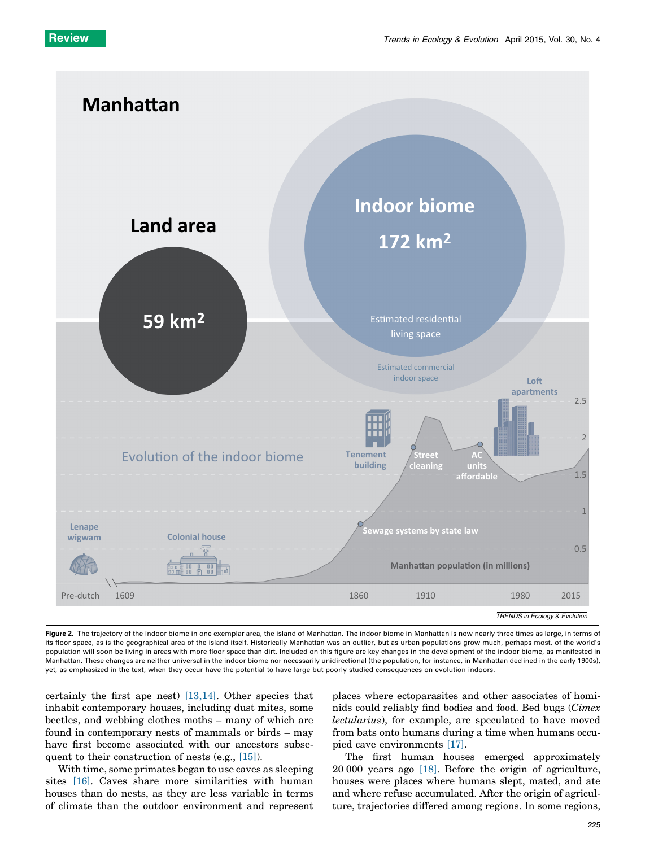<span id="page-2-0"></span>

Figure 2. The trajectory of the indoor biome in one exemplar area, the island of Manhattan. The indoor biome in Manhattan is now nearly three times as large, in terms of its floor space, as is the geographical area of the island itself. Historically Manhattan was an outlier, but as urban populations grow much, perhaps most, of the world's population will soon be living in areas with more floor space than dirt. Included on this figure are key changes in the development of the indoor biome, as manifested in Manhattan. These changes are neither universal in the indoor biome nor necessarily unidirectional (the population, for instance, in Manhattan declined in the early 1900s), yet, as emphasized in the text, when they occur have the potential to have large but poorly studied consequences on evolution indoors.

certainly the first ape nest) [\[13,14\].](#page-8-0) Other species that inhabit contemporary houses, including dust mites, some beetles, and webbing clothes moths – many of which are found in contemporary nests of mammals or birds – may have first become associated with our ancestors subsequent to their construction of nests (e.g., [\[15\]](#page-8-0)).

With time, some primates began to use caves as sleeping sites [\[16\].](#page-8-0) Caves share more similarities with human houses than do nests, as they are less variable in terms of climate than the outdoor environment and represent

places where ectoparasites and other associates of hominids could reliably find bodies and food. Bed bugs (Cimex lectularius), for example, are speculated to have moved from bats onto humans during a time when humans occupied cave environments [\[17\]](#page-8-0).

The first human houses emerged approximately 20 000 years ago [\[18\]](#page-8-0). Before the origin of agriculture, houses were places where humans slept, mated, and ate and where refuse accumulated. After the origin of agriculture, trajectories differed among regions. In some regions,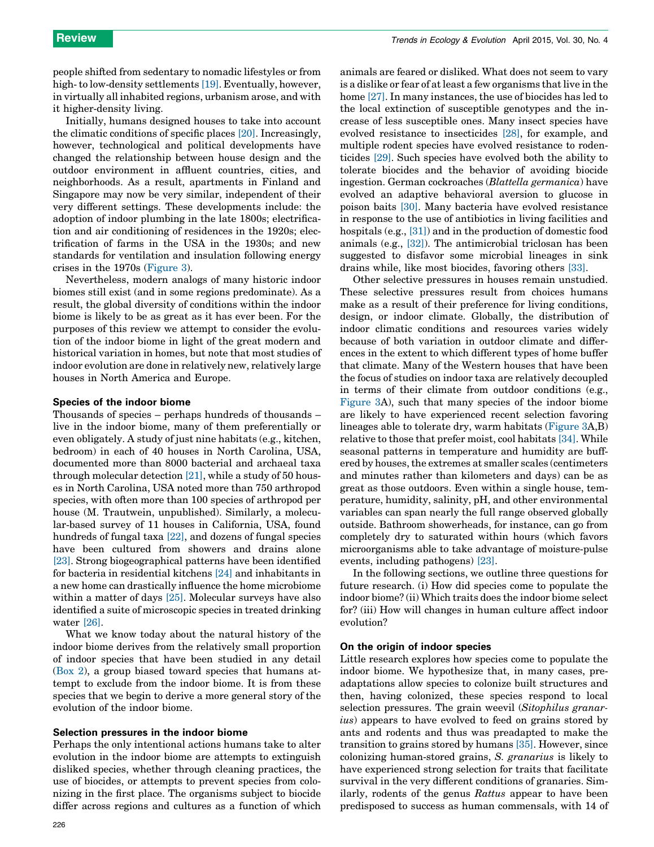people shifted from sedentary to nomadic lifestyles or from high- to low-density settlements [\[19\]](#page-8-0). Eventually, however, in virtually all inhabited regions, urbanism arose, and with it higher-density living.

Initially, humans designed houses to take into account the climatic conditions of specific places [\[20\]](#page-8-0). Increasingly, however, technological and political developments have changed the relationship between house design and the outdoor environment in affluent countries, cities, and neighborhoods. As a result, apartments in Finland and Singapore may now be very similar, independent of their very different settings. These developments include: the adoption of indoor plumbing in the late 1800s; electrification and air conditioning of residences in the 1920s; electrification of farms in the USA in the 1930s; and new standards for ventilation and insulation following energy crises in the 1970s ([Figure](#page-4-0) 3).

Nevertheless, modern analogs of many historic indoor biomes still exist (and in some regions predominate). As a result, the global diversity of conditions within the indoor biome is likely to be as great as it has ever been. For the purposes of this review we attempt to consider the evolution of the indoor biome in light of the great modern and historical variation in homes, but note that most studies of indoor evolution are done in relatively new, relatively large houses in North America and Europe.

# Species of the indoor biome

Thousands of species – perhaps hundreds of thousands – live in the indoor biome, many of them preferentially or even obligately. A study of just nine habitats (e.g., kitchen, bedroom) in each of 40 houses in North Carolina, USA, documented more than 8000 bacterial and archaeal taxa through molecular detection [\[21\]](#page-8-0), while a study of 50 houses in North Carolina, USA noted more than 750 arthropod species, with often more than 100 species of arthropod per house (M. Trautwein, unpublished). Similarly, a molecular-based survey of 11 houses in California, USA, found hundreds of fungal taxa [\[22\],](#page-8-0) and dozens of fungal species have been cultured from showers and drains alone [\[23\]](#page-8-0). Strong biogeographical patterns have been identified for bacteria in residential kitchens [\[24\]](#page-8-0) and inhabitants in a new home can drastically influence the home microbiome within a matter of days [\[25\].](#page-8-0) Molecular surveys have also identified a suite of microscopic species in treated drinking water [\[26\]](#page-8-0).

What we know today about the natural history of the indoor biome derives from the relatively small proportion of indoor species that have been studied in any detail ([Box](#page-5-0) 2), a group biased toward species that humans attempt to exclude from the indoor biome. It is from these species that we begin to derive a more general story of the evolution of the indoor biome.

# Selection pressures in the indoor biome

Perhaps the only intentional actions humans take to alter evolution in the indoor biome are attempts to extinguish disliked species, whether through cleaning practices, the use of biocides, or attempts to prevent species from colonizing in the first place. The organisms subject to biocide differ across regions and cultures as a function of which

226

animals are feared or disliked. What does not seem to vary is a dislike or fear of at least a few organisms that live in the home [\[27\].](#page-8-0) In many instances, the use of biocides has led to the local extinction of susceptible genotypes and the increase of less susceptible ones. Many insect species have evolved resistance to insecticides [\[28\]](#page-8-0), for example, and multiple rodent species have evolved resistance to rodenticides [\[29\].](#page-8-0) Such species have evolved both the ability to tolerate biocides and the behavior of avoiding biocide ingestion. German cockroaches (Blattella germanica) have evolved an adaptive behavioral aversion to glucose in poison baits [\[30\].](#page-8-0) Many bacteria have evolved resistance in response to the use of antibiotics in living facilities and hospitals (e.g., [\[31\]\)](#page-8-0) and in the production of domestic food animals (e.g., [\[32\]\)](#page-8-0). The antimicrobial triclosan has been suggested to disfavor some microbial lineages in sink drains while, like most biocides, favoring others [\[33\].](#page-8-0)

Other selective pressures in houses remain unstudied. These selective pressures result from choices humans make as a result of their preference for living conditions, design, or indoor climate. Globally, the distribution of indoor climatic conditions and resources varies widely because of both variation in outdoor climate and differences in the extent to which different types of home buffer that climate. Many of the Western houses that have been the focus of studies on indoor taxa are relatively decoupled in terms of their climate from outdoor conditions (e.g., [Figure](#page-4-0) 3A), such that many species of the indoor biome are likely to have experienced recent selection favoring lineages able to tolerate dry, warm habitats ([Figure](#page-4-0) 3A,B) relative to those that prefer moist, cool habitats [\[34\]](#page-8-0). While seasonal patterns in temperature and humidity are buffered by houses, the extremes at smaller scales (centimeters and minutes rather than kilometers and days) can be as great as those outdoors. Even within a single house, temperature, humidity, salinity, pH, and other environmental variables can span nearly the full range observed globally outside. Bathroom showerheads, for instance, can go from completely dry to saturated within hours (which favors microorganisms able to take advantage of moisture-pulse events, including pathogens) [\[23\].](#page-8-0)

In the following sections, we outline three questions for future research. (i) How did species come to populate the indoor biome? (ii) Which traits does the indoor biome select for? (iii) How will changes in human culture affect indoor evolution?

# On the origin of indoor species

Little research explores how species come to populate the indoor biome. We hypothesize that, in many cases, preadaptations allow species to colonize built structures and then, having colonized, these species respond to local selection pressures. The grain weevil (Sitophilus granarius) appears to have evolved to feed on grains stored by ants and rodents and thus was preadapted to make the transition to grains stored by humans [\[35\].](#page-8-0) However, since colonizing human-stored grains, S. granarius is likely to have experienced strong selection for traits that facilitate survival in the very different conditions of granaries. Similarly, rodents of the genus Rattus appear to have been predisposed to success as human commensals, with 14 of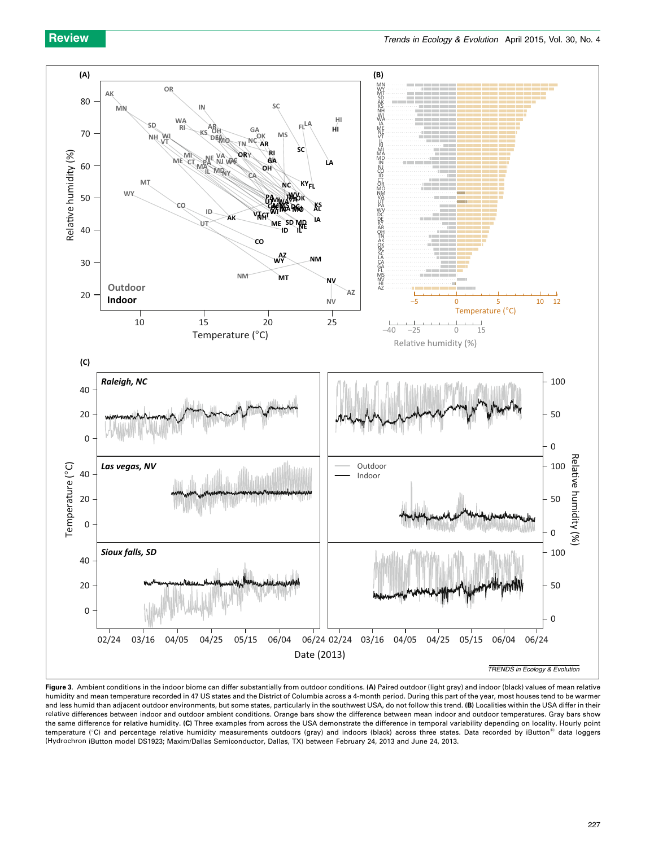<span id="page-4-0"></span>

Figure 3. Ambient conditions in the indoor biome can differ substantially from outdoor conditions. (A) Paired outdoor (light gray) and indoor (black) values of mean relative humidity and mean temperature recorded in 47 US states and the District of Columbia across a 4-month period. During this part of the year, most houses tend to be warmer and less humid than adjacent outdoor environments, but some states, particularly in the southwest USA, do not follow this trend. (B) Localities within the USA differ in their relative differences between indoor and outdoor ambient conditions. Orange bars show the difference between mean indoor and outdoor temperatures. Gray bars show the same difference for relative humidity. (C) Three examples from across the USA demonstrate the difference in temporal variability depending on locality. Hourly point temperature ( $^{\circ}$ C) and percentage relative humidity measurements outdoors (gray) and indoors (black) across three states. Data recorded by iButton<sup>®</sup> data loggers (Hydrochron iButton model DS1923; Maxim/Dallas Semiconductor, Dallas, TX) between February 24, 2013 and June 24, 2013.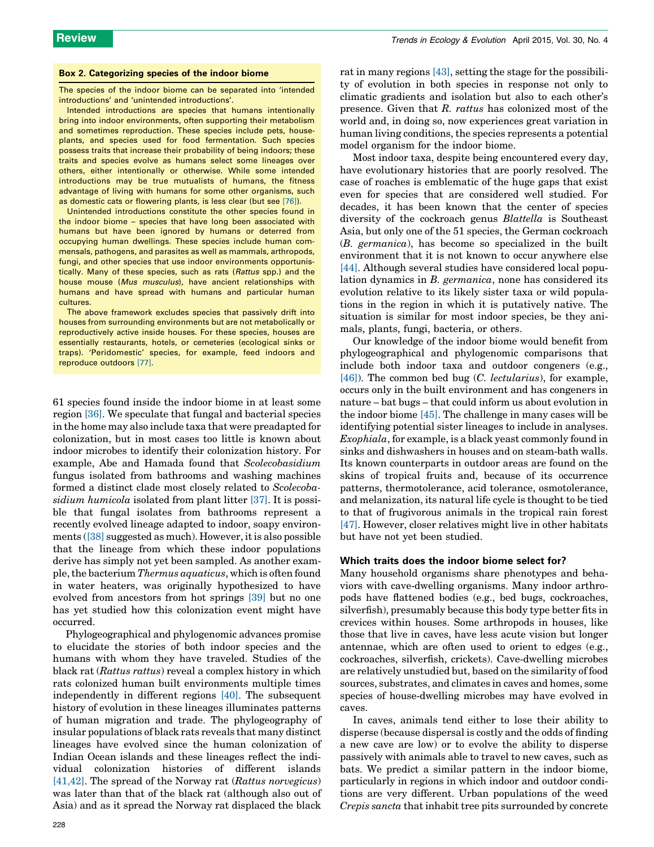## <span id="page-5-0"></span>Box 2. Categorizing species of the indoor biome

The species of the indoor biome can be separated into 'intended introductions' and 'unintended introductions'.

Intended introductions are species that humans intentionally bring into indoor environments, often supporting their metabolism and sometimes reproduction. These species include pets, houseplants, and species used for food fermentation. Such species possess traits that increase their probability of being indoors; these traits and species evolve as humans select some lineages over others, either intentionally or otherwise. While some intended introductions may be true mutualists of humans, the fitness advantage of living with humans for some other organisms, such as domestic cats or flowering plants, is less clear (but see [\[76\]](#page-9-0)).

Unintended introductions constitute the other species found in the indoor biome – species that have long been associated with humans but have been ignored by humans or deterred from occupying human dwellings. These species include human commensals, pathogens, and parasites as well as mammals, arthropods, fungi, and other species that use indoor environments opportunistically. Many of these species, such as rats (Rattus spp.) and the house mouse (Mus musculus), have ancient relationships with humans and have spread with humans and particular human cultures.

The above framework excludes species that passively drift into houses from surrounding environments but are not metabolically or reproductively active inside houses. For these species, houses are essentially restaurants, hotels, or cemeteries (ecological sinks or traps). 'Peridomestic' species, for example, feed indoors and reproduce outdoors [\[77\].](#page-9-0)

61 species found inside the indoor biome in at least some region [\[36\].](#page-8-0) We speculate that fungal and bacterial species in the home may also include taxa that were preadapted for colonization, but in most cases too little is known about indoor microbes to identify their colonization history. For example, Abe and Hamada found that Scolecobasidium fungus isolated from bathrooms and washing machines formed a distinct clade most closely related to Scolecoba-sidium humicola isolated from plant litter [\[37\].](#page-8-0) It is possible that fungal isolates from bathrooms represent a recently evolved lineage adapted to indoor, soapy environments  $([38]$  suggested as much). However, it is also possible that the lineage from which these indoor populations derive has simply not yet been sampled. As another example, the bacterium *Thermus aquaticus*, which is often found in water heaters, was originally hypothesized to have evolved from ancestors from hot springs [\[39\]](#page-8-0) but no one has yet studied how this colonization event might have occurred.

Phylogeographical and phylogenomic advances promise to elucidate the stories of both indoor species and the humans with whom they have traveled. Studies of the black rat (Rattus rattus) reveal a complex history in which rats colonized human built environments multiple times independently in different regions [\[40\]](#page-8-0). The subsequent history of evolution in these lineages illuminates patterns of human migration and trade. The phylogeography of insular populations of black rats reveals that many distinct lineages have evolved since the human colonization of Indian Ocean islands and these lineages reflect the individual colonization histories of different islands [\[41,42\]](#page-8-0). The spread of the Norway rat (Rattus norvegicus) was later than that of the black rat (although also out of Asia) and as it spread the Norway rat displaced the black rat in many regions [\[43\],](#page-8-0) setting the stage for the possibility of evolution in both species in response not only to climatic gradients and isolation but also to each other's presence. Given that R. rattus has colonized most of the world and, in doing so, now experiences great variation in human living conditions, the species represents a potential model organism for the indoor biome.

Most indoor taxa, despite being encountered every day, have evolutionary histories that are poorly resolved. The case of roaches is emblematic of the huge gaps that exist even for species that are considered well studied. For decades, it has been known that the center of species diversity of the cockroach genus Blattella is Southeast Asia, but only one of the 51 species, the German cockroach (B. germanica), has become so specialized in the built environment that it is not known to occur anywhere else [\[44\]](#page-8-0). Although several studies have considered local population dynamics in B. germanica, none has considered its evolution relative to its likely sister taxa or wild populations in the region in which it is putatively native. The situation is similar for most indoor species, be they animals, plants, fungi, bacteria, or others.

Our knowledge of the indoor biome would benefit from phylogeographical and phylogenomic comparisons that include both indoor taxa and outdoor congeners (e.g., [\[46\]](#page-8-0)). The common bed bug (C. lectularius), for example, occurs only in the built environment and has congeners in nature – bat bugs – that could inform us about evolution in the indoor biome [\[45\]](#page-8-0). The challenge in many cases will be identifying potential sister lineages to include in analyses. Exophiala, for example, is a black yeast commonly found in sinks and dishwashers in houses and on steam-bath walls. Its known counterparts in outdoor areas are found on the skins of tropical fruits and, because of its occurrence patterns, thermotolerance, acid tolerance, osmotolerance, and melanization, its natural life cycle is thought to be tied to that of frugivorous animals in the tropical rain forest [\[47\]](#page-8-0). However, closer relatives might live in other habitats but have not yet been studied.

## Which traits does the indoor biome select for?

Many household organisms share phenotypes and behaviors with cave-dwelling organisms. Many indoor arthropods have flattened bodies (e.g., bed bugs, cockroaches, silverfish), presumably because this body type better fits in crevices within houses. Some arthropods in houses, like those that live in caves, have less acute vision but longer antennae, which are often used to orient to edges (e.g., cockroaches, silverfish, crickets). Cave-dwelling microbes are relatively unstudied but, based on the similarity of food sources, substrates, and climates in caves and homes, some species of house-dwelling microbes may have evolved in caves.

In caves, animals tend either to lose their ability to disperse (because dispersal is costly and the odds of finding a new cave are low) or to evolve the ability to disperse passively with animals able to travel to new caves, such as bats. We predict a similar pattern in the indoor biome, particularly in regions in which indoor and outdoor conditions are very different. Urban populations of the weed Crepis sancta that inhabit tree pits surrounded by concrete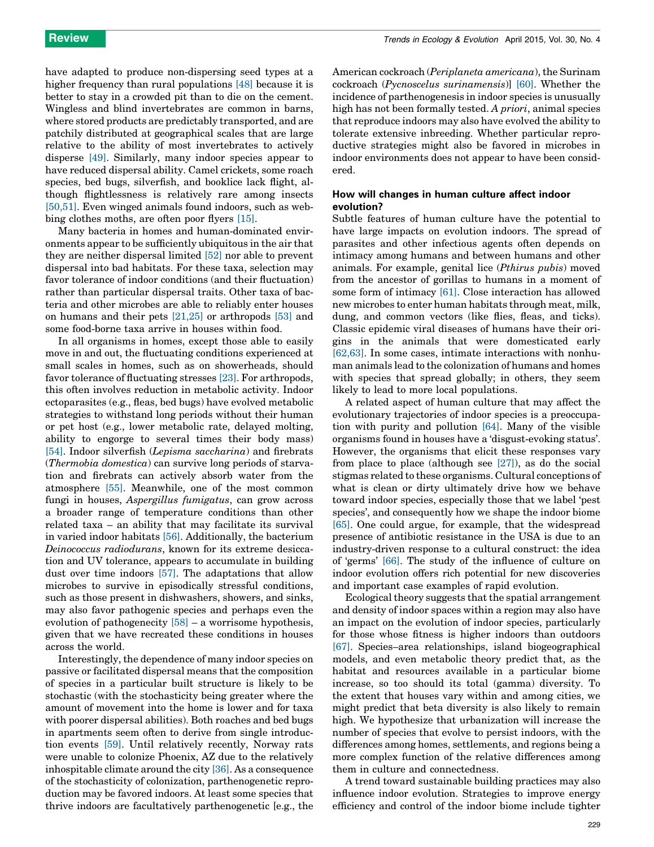have adapted to produce non-dispersing seed types at a higher frequency than rural populations [\[48\]](#page-8-0) because it is better to stay in a crowded pit than to die on the cement. Wingless and blind invertebrates are common in barns, where stored products are predictably transported, and are patchily distributed at geographical scales that are large relative to the ability of most invertebrates to actively disperse [\[49\].](#page-8-0) Similarly, many indoor species appear to have reduced dispersal ability. Camel crickets, some roach species, bed bugs, silverfish, and booklice lack flight, although flightlessness is relatively rare among insects [\[50,51\]](#page-8-0). Even winged animals found indoors, such as web-bing clothes moths, are often poor flyers [\[15\].](#page-8-0)

Many bacteria in homes and human-dominated environments appear to be sufficiently ubiquitous in the air that they are neither dispersal limited [\[52\]](#page-8-0) nor able to prevent dispersal into bad habitats. For these taxa, selection may favor tolerance of indoor conditions (and their fluctuation) rather than particular dispersal traits. Other taxa of bacteria and other microbes are able to reliably enter houses on humans and their pets [\[21,25\]](#page-8-0) or arthropods [\[53\]](#page-8-0) and some food-borne taxa arrive in houses within food.

In all organisms in homes, except those able to easily move in and out, the fluctuating conditions experienced at small scales in homes, such as on showerheads, should favor tolerance of fluctuating stresses [\[23\].](#page-8-0) For arthropods, this often involves reduction in metabolic activity. Indoor ectoparasites (e.g., fleas, bed bugs) have evolved metabolic strategies to withstand long periods without their human or pet host (e.g., lower metabolic rate, delayed molting, ability to engorge to several times their body mass) [\[54\]](#page-8-0). Indoor silverfish (Lepisma saccharina) and firebrats (Thermobia domestica) can survive long periods of starvation and firebrats can actively absorb water from the atmosphere [\[55\]](#page-8-0). Meanwhile, one of the most common fungi in houses, Aspergillus fumigatus, can grow across a broader range of temperature conditions than other related taxa – an ability that may facilitate its survival in varied indoor habitats [\[56\].](#page-8-0) Additionally, the bacterium Deinococcus radiodurans, known for its extreme desiccation and UV tolerance, appears to accumulate in building dust over time indoors [\[57\].](#page-8-0) The adaptations that allow microbes to survive in episodically stressful conditions, such as those present in dishwashers, showers, and sinks, may also favor pathogenic species and perhaps even the evolution of pathogenecity  $[58]$  – a worrisome hypothesis, given that we have recreated these conditions in houses across the world.

Interestingly, the dependence of many indoor species on passive or facilitated dispersal means that the composition of species in a particular built structure is likely to be stochastic (with the stochasticity being greater where the amount of movement into the home is lower and for taxa with poorer dispersal abilities). Both roaches and bed bugs in apartments seem often to derive from single introduction events [\[59\].](#page-9-0) Until relatively recently, Norway rats were unable to colonize Phoenix, AZ due to the relatively inhospitable climate around the city [\[36\]](#page-8-0). As a consequence of the stochasticity of colonization, parthenogenetic reproduction may be favored indoors. At least some species that thrive indoors are facultatively parthenogenetic [e.g., the American cockroach (Periplaneta americana), the Surinam cockroach (Pycnoscelus surinamensis)] [\[60\]](#page-9-0). Whether the incidence of parthenogenesis in indoor species is unusually high has not been formally tested. A priori, animal species that reproduce indoors may also have evolved the ability to tolerate extensive inbreeding. Whether particular reproductive strategies might also be favored in microbes in indoor environments does not appear to have been considered.

# How will changes in human culture affect indoor evolution?

Subtle features of human culture have the potential to have large impacts on evolution indoors. The spread of parasites and other infectious agents often depends on intimacy among humans and between humans and other animals. For example, genital lice (Pthirus pubis) moved from the ancestor of gorillas to humans in a moment of some form of intimacy [\[61\]](#page-9-0). Close interaction has allowed new microbes to enter human habitats through meat, milk, dung, and common vectors (like flies, fleas, and ticks). Classic epidemic viral diseases of humans have their origins in the animals that were domesticated early [\[62,63\]](#page-9-0). In some cases, intimate interactions with nonhuman animals lead to the colonization of humans and homes with species that spread globally; in others, they seem likely to lead to more local populations.

A related aspect of human culture that may affect the evolutionary trajectories of indoor species is a preoccupation with purity and pollution [\[64\]](#page-9-0). Many of the visible organisms found in houses have a 'disgust-evoking status'. However, the organisms that elicit these responses vary from place to place (although see [\[27\]](#page-8-0)), as do the social stigmas related to these organisms. Cultural conceptions of what is clean or dirty ultimately drive how we behave toward indoor species, especially those that we label 'pest species', and consequently how we shape the indoor biome [\[65\]](#page-9-0). One could argue, for example, that the widespread presence of antibiotic resistance in the USA is due to an industry-driven response to a cultural construct: the idea of 'germs' [\[66\].](#page-9-0) The study of the influence of culture on indoor evolution offers rich potential for new discoveries and important case examples of rapid evolution.

Ecological theory suggests that the spatial arrangement and density of indoor spaces within a region may also have an impact on the evolution of indoor species, particularly for those whose fitness is higher indoors than outdoors [\[67\]](#page-9-0). Species–area relationships, island biogeographical models, and even metabolic theory predict that, as the habitat and resources available in a particular biome increase, so too should its total (gamma) diversity. To the extent that houses vary within and among cities, we might predict that beta diversity is also likely to remain high. We hypothesize that urbanization will increase the number of species that evolve to persist indoors, with the differences among homes, settlements, and regions being a more complex function of the relative differences among them in culture and connectedness.

A trend toward sustainable building practices may also influence indoor evolution. Strategies to improve energy efficiency and control of the indoor biome include tighter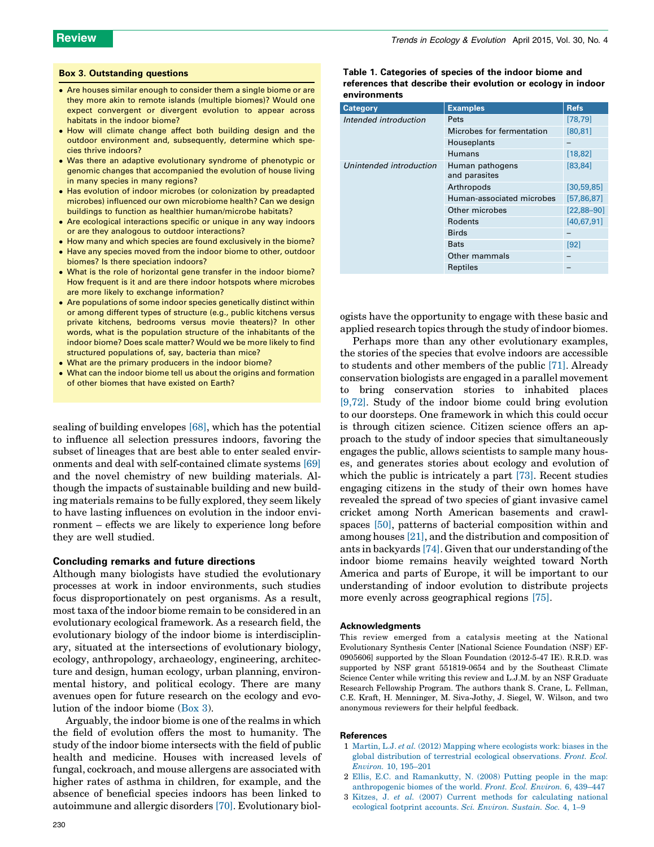## <span id="page-7-0"></span>Box 3. Outstanding questions

- $\bullet~$  Are houses similar enough to consider them a single biome or are they more akin to remote islands (multiple biomes)? Would one expect convergent or divergent evolution to appear across habitats in the indoor biome?
- $\bullet$  How will climate change affect both building design and the outdoor environment and, subsequently, determine which species thrive indoors?
- Was there an adaptive evolutionary syndrome of phenotypic or genomic changes that accompanied the evolution of house living in many species in many regions?
- Has evolution of indoor microbes (or colonization by preadapted microbes) influenced our own microbiome health? Can we design buildings to function as healthier human/microbe habitats?
- Are ecological interactions specific or unique in any way indoors or are they analogous to outdoor interactions?
- How many and which species are found exclusively in the biome? - Have any species moved from the indoor biome to other, outdoor
- biomes? Is there speciation indoors? - What is the role of horizontal gene transfer in the indoor biome? How frequent is it and are there indoor hotspots where microbes are more likely to exchange information?
- Are populations of some indoor species genetically distinct within or among different types of structure (e.g., public kitchens versus private kitchens, bedrooms versus movie theaters)? In other words, what is the population structure of the inhabitants of the indoor biome? Does scale matter? Would we be more likely to find structured populations of, say, bacteria than mice?
- What are the primary producers in the indoor biome?
- What can the indoor biome tell us about the origins and formation of other biomes that have existed on Earth?

sealing of building envelopes [\[68\],](#page-9-0) which has the potential to influence all selection pressures indoors, favoring the subset of lineages that are best able to enter sealed environments and deal with self-contained climate systems [\[69\]](#page-9-0) and the novel chemistry of new building materials. Although the impacts of sustainable building and new building materials remains to be fully explored, they seem likely to have lasting influences on evolution in the indoor environment – effects we are likely to experience long before they are well studied.

## Concluding remarks and future directions

Although many biologists have studied the evolutionary processes at work in indoor environments, such studies focus disproportionately on pest organisms. As a result, mosttaxa ofthe indoor biome remain to be considered in an evolutionary ecological framework. As a research field, the evolutionary biology of the indoor biome is interdisciplinary, situated at the intersections of evolutionary biology, ecology, anthropology, archaeology, engineering, architecture and design, human ecology, urban planning, environmental history, and political ecology. There are many avenues open for future research on the ecology and evolution of the indoor biome (Box 3).

Arguably, the indoor biome is one of the realms in which the field of evolution offers the most to humanity. The study of the indoor biome intersects with the field of public health and medicine. Houses with increased levels of fungal, cockroach, and mouse allergens are associated with higher rates of asthma in children, for example, and the absence of beneficial species indoors has been linked to autoimmune and allergic disorders [\[70\]](#page-9-0). Evolutionary biol-

| Table 1. Categories of species of the indoor biome and        |
|---------------------------------------------------------------|
| references that describe their evolution or ecology in indoor |
| environments                                                  |

| <b>Category</b>         | <b>Examples</b>                  | <b>Refs</b>     |
|-------------------------|----------------------------------|-----------------|
| Intended introduction   | Pets                             | [78, 79]        |
|                         | Microbes for fermentation        | [80, 81]        |
|                         | Houseplants                      |                 |
|                         | <b>Humans</b>                    | [18, 82]        |
| Unintended introduction | Human pathogens<br>and parasites | [83, 84]        |
|                         | Arthropods                       | [30, 59, 85]    |
|                         | Human-associated microbes        | [57, 86, 87]    |
|                         | Other microbes                   | $[22, 88 - 90]$ |
|                         | Rodents                          | [40, 67, 91]    |
|                         | <b>Birds</b>                     |                 |
|                         | <b>Bats</b>                      | [92]            |
|                         | Other mammals                    |                 |
|                         | Reptiles                         |                 |

ogists have the opportunity to engage with these basic and applied research topics through the study of indoor biomes.

Perhaps more than any other evolutionary examples, the stories of the species that evolve indoors are accessible to students and other members of the public [\[71\]](#page-9-0). Already conservation biologists are engaged in a parallel movement to bring conservation stories to inhabited places [\[9,72\].](#page-8-0) Study of the indoor biome could bring evolution to our doorsteps. One framework in which this could occur is through citizen science. Citizen science offers an approach to the study of indoor species that simultaneously engages the public, allows scientists to sample many houses, and generates stories about ecology and evolution of which the public is intricately a part [\[73\].](#page-9-0) Recent studies engaging citizens in the study of their own homes have revealed the spread of two species of giant invasive camel cricket among North American basements and crawlspaces [\[50\],](#page-8-0) patterns of bacterial composition within and among houses [\[21\],](#page-8-0) and the distribution and composition of ants in backyards  $[74]$ . Given that our understanding of the indoor biome remains heavily weighted toward North America and parts of Europe, it will be important to our understanding of indoor evolution to distribute projects more evenly across geographical regions [\[75\].](#page-9-0)

## Acknowledgments

This review emerged from a catalysis meeting at the National Evolutionary Synthesis Center [National Science Foundation (NSF) EF-0905606] supported by the Sloan Foundation (2012-5-47 IE). R.R.D. was supported by NSF grant 551819-0654 and by the Southeast Climate Science Center while writing this review and L.J.M. by an NSF Graduate Research Fellowship Program. The authors thank S. Crane, L. Fellman, C.E. Kraft, H. Menninger, M. Siva-Jothy, J. Siegel, W. Wilson, and two anonymous reviewers for their helpful feedback.

#### **References**

- 1 Martin, L.J. et al. (2012) Mapping where [ecologists](http://refhub.elsevier.com/S0169-5347(15)00038-5/sbref0005) work: biases in the global distribution of terrestrial ecological [observations.](http://refhub.elsevier.com/S0169-5347(15)00038-5/sbref0005) Front. Ecol. [Environ.](http://refhub.elsevier.com/S0169-5347(15)00038-5/sbref0005) 10, 195–201
- 2 Ellis, E.C. and [Ramankutty,](http://refhub.elsevier.com/S0169-5347(15)00038-5/sbref0010) N. (2008) Putting people in the map: [anthropogenic](http://refhub.elsevier.com/S0169-5347(15)00038-5/sbref0010) biomes of the world. Front. Ecol. Environ. 6, 439–447
- 3 Kitzes, J. et al. (2007) Current methods for [calculating](http://refhub.elsevier.com/S0169-5347(15)00038-5/sbref0015) national [ecological](http://refhub.elsevier.com/S0169-5347(15)00038-5/sbref0015) footprint accounts. Sci. Environ. Sustain. Soc. 4, 1–9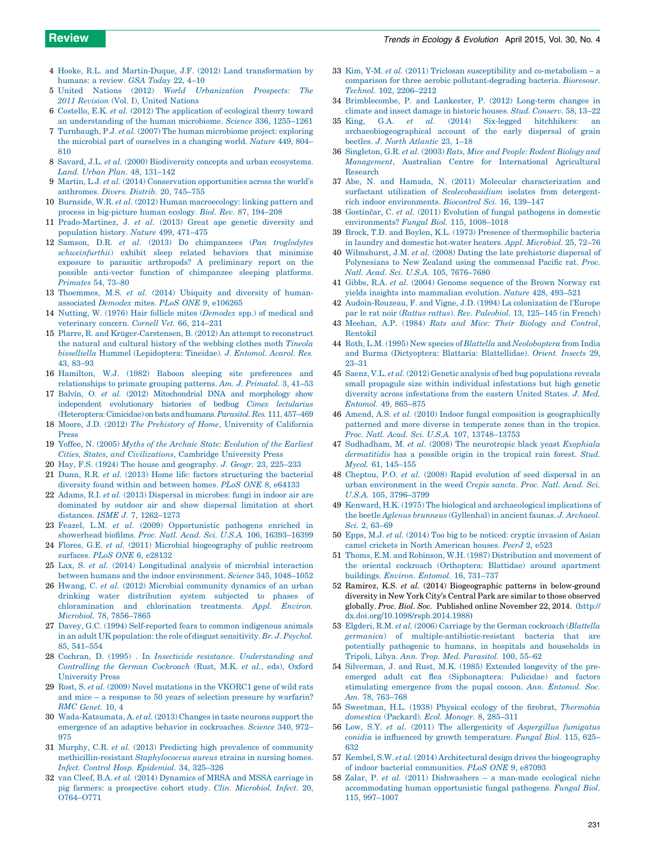- <span id="page-8-0"></span>4 Hooke, R.L. and Martín-Duque, J.F. (2012) Land [transformation](http://refhub.elsevier.com/S0169-5347(15)00038-5/sbref0020) by [humans:](http://refhub.elsevier.com/S0169-5347(15)00038-5/sbref0020) a review. GSA Today 22, 4–10
- 5 United Nations (2012) World [Urbanization](http://refhub.elsevier.com/S0169-5347(15)00038-5/sbref0025) Prospects: The 2011 [Revision](http://refhub.elsevier.com/S0169-5347(15)00038-5/sbref0025) (Vol. I), United Nations
- 6 Costello, E.K. et al. (2012) The [application](http://refhub.elsevier.com/S0169-5347(15)00038-5/sbref0030) of ecological theory toward an [understanding](http://refhub.elsevier.com/S0169-5347(15)00038-5/sbref0030) of the human microbiome. Science 336, 1255–1261
- 7 [Turnbaugh,](http://refhub.elsevier.com/S0169-5347(15)00038-5/sbref0035) P.J. et al. (2007) The human microbiome project: exploring the microbial part of [ourselves](http://refhub.elsevier.com/S0169-5347(15)00038-5/sbref0035) in a changing world. Nature 449, 804– [810](http://refhub.elsevier.com/S0169-5347(15)00038-5/sbref0035)
- 8 Savard, J.L. et al. (2000) [Biodiversity](http://refhub.elsevier.com/S0169-5347(15)00038-5/sbref0040) concepts and urban ecosystems. Land. Urban Plan. 48, [131–142](http://refhub.elsevier.com/S0169-5347(15)00038-5/sbref0040)
- 9 Martin, L.J. et al. (2014) Conservation [opportunities](http://refhub.elsevier.com/S0169-5347(15)00038-5/sbref0045) across the world's [anthromes.](http://refhub.elsevier.com/S0169-5347(15)00038-5/sbref0045) Divers. Distrib. 20, 745–755
- 10 Burnside, W.R. et al. (2012) Human [macroecology:](http://refhub.elsevier.com/S0169-5347(15)00038-5/sbref0050) linking pattern and process in [big-picture](http://refhub.elsevier.com/S0169-5347(15)00038-5/sbref0050) human ecology. Biol. Rev. 87, 194–208
- 11 [Prado-Martinez,](http://refhub.elsevier.com/S0169-5347(15)00038-5/sbref0055) J. et al. (2013) Great ape genetic diversity and [population](http://refhub.elsevier.com/S0169-5347(15)00038-5/sbref0055) history. Nature 499, 471–475
- 12 Samson, D.R. et al. (2013) Do [chimpanzees](http://refhub.elsevier.com/S0169-5347(15)00038-5/sbref0060) (Pan troglodytes [schweinfurthii](http://refhub.elsevier.com/S0169-5347(15)00038-5/sbref0060)) exhibit sleep related behaviors that minimize exposure to parasitic [arthropods?](http://refhub.elsevier.com/S0169-5347(15)00038-5/sbref0060) A preliminary report on the possible anti-vector function of [chimpanzee](http://refhub.elsevier.com/S0169-5347(15)00038-5/sbref0060) sleeping platforms. [Primates](http://refhub.elsevier.com/S0169-5347(15)00038-5/sbref0060) 54, 73–80
- 13 [Thoemmes,](http://refhub.elsevier.com/S0169-5347(15)00038-5/sbref0065) M.S. et al. (2014) Ubiquity and diversity of human[associated](http://refhub.elsevier.com/S0169-5347(15)00038-5/sbref0065) Demodex mites. PLoS ONE 9, e106265
- 14 Nutting, W. (1976) Hair follicle mites ([Demodex](http://refhub.elsevier.com/S0169-5347(15)00038-5/sbref0070) spp.) of medical and [veterinary](http://refhub.elsevier.com/S0169-5347(15)00038-5/sbref0070) concern. Cornell Vet. 66, 214–231
- 15 Plarre, R. and Krü[ger-Carstensen,](http://refhub.elsevier.com/S0169-5347(15)00038-5/sbref0075) B. (2012) An attempt to reconstruct the natural and cultural history of the [webbing](http://refhub.elsevier.com/S0169-5347(15)00038-5/sbref0075) clothes moth Tineola bisselliella Hummel [\(Lepidoptera:](http://refhub.elsevier.com/S0169-5347(15)00038-5/sbref0075) Tineidae). J. Entomol. Acarol. Res. 43, [83–93](http://refhub.elsevier.com/S0169-5347(15)00038-5/sbref0075)
- 16 Hamilton, W.J. (1982) Baboon sleeping site [preferences](http://refhub.elsevier.com/S0169-5347(15)00038-5/sbref0080) and [relationships](http://refhub.elsevier.com/S0169-5347(15)00038-5/sbref0080) to primate grouping patterns. Am. J. Primatol. 3, 41–53
- 17 Balvín, O. et al. (2012) [Mitochondrial](http://refhub.elsevier.com/S0169-5347(15)00038-5/sbref0085) DNA and morphology show independent [evolutionary](http://refhub.elsevier.com/S0169-5347(15)00038-5/sbref0085) histories of bedbug Cimex lectularius [\(Heteroptera:Cimicidae\)](http://refhub.elsevier.com/S0169-5347(15)00038-5/sbref0085) on bats andhumans.Parasitol. Res. 111, 457–469
- 18 Moore, J.D. (2012) The Prehistory of Home, [University](http://refhub.elsevier.com/S0169-5347(15)00038-5/sbref0090) of California [Press](http://refhub.elsevier.com/S0169-5347(15)00038-5/sbref0090)
- 19 Yoffee, N. (2005) Myths of the Archaic State: [Evolution](http://refhub.elsevier.com/S0169-5347(15)00038-5/sbref0095) of the Earliest Cities, States, and [Civilizations](http://refhub.elsevier.com/S0169-5347(15)00038-5/sbref0095), Cambridge University Press
- 20 Hay, F.S. (1924) The house and [geography.](http://refhub.elsevier.com/S0169-5347(15)00038-5/sbref0100) J. Geogr. 23, 225–233
- 21 Dunn, R.R. et al. (2013) Home life: factors [structuring](http://refhub.elsevier.com/S0169-5347(15)00038-5/sbref0105) the bacterial [diversity](http://refhub.elsevier.com/S0169-5347(15)00038-5/sbref0105) found within and between homes. PLoS ONE 8, e64133
- 22 Adams, R.I. et al.  $(2013)$  [Dispersal](http://refhub.elsevier.com/S0169-5347(15)00038-5/sbref0110) in microbes: fungi in indoor air are [dominated](http://refhub.elsevier.com/S0169-5347(15)00038-5/sbref0110) by outdoor air and show dispersal limitation at short distances. ISME J. 7, [1262–1273](http://refhub.elsevier.com/S0169-5347(15)00038-5/sbref0110)
- 23 Feazel, L.M. et al. (2009) [Opportunistic](http://refhub.elsevier.com/S0169-5347(15)00038-5/sbref0115) pathogens enriched in showerhead biofilms. Proc. Natl. Acad. Sci. U.S.A. 106, [16393–16399](http://refhub.elsevier.com/S0169-5347(15)00038-5/sbref0115)
- 24 Flores, G.E. et al. (2011) Microbial [biogeography](http://refhub.elsevier.com/S0169-5347(15)00038-5/sbref0120) of public restroom [surfaces.](http://refhub.elsevier.com/S0169-5347(15)00038-5/sbref0120) PLoS ONE 6, e28132
- 25 Lax, S. et al. (2014) [Longitudinal](http://refhub.elsevier.com/S0169-5347(15)00038-5/sbref0125) analysis of microbial interaction between humans and the indoor [environment.](http://refhub.elsevier.com/S0169-5347(15)00038-5/sbref0125) Science 345, 1048–1052
- 26 Hwang, C. et al. (2012) Microbial [community](http://refhub.elsevier.com/S0169-5347(15)00038-5/sbref0130) dynamics of an urban drinking water [distribution](http://refhub.elsevier.com/S0169-5347(15)00038-5/sbref0130) system subjected to phases of [chloramination](http://refhub.elsevier.com/S0169-5347(15)00038-5/sbref0130) and chlorination treatments. Appl. Environ. Microbiol. 78, [7856–7865](http://refhub.elsevier.com/S0169-5347(15)00038-5/sbref0130)
- 27 Davey, G.C. (1994) [Self-reported](http://refhub.elsevier.com/S0169-5347(15)00038-5/sbref0135) fears to common indigenous animals in an adult UK population: the role of disgust sensitivity. Br. J. Psychol. 85, [541–554](http://refhub.elsevier.com/S0169-5347(15)00038-5/sbref0135)
- 28 Cochran, D. (1995) . In Insecticide resistance. [Understanding](http://refhub.elsevier.com/S0169-5347(15)00038-5/sbref0140) and [Controlling](http://refhub.elsevier.com/S0169-5347(15)00038-5/sbref0140) the German Cockroach (Rust, M.K. et al., eds), Oxford [University](http://refhub.elsevier.com/S0169-5347(15)00038-5/sbref0140) Press
- 29 Rost, S. et al. (2009) Novel [mutations](http://refhub.elsevier.com/S0169-5347(15)00038-5/sbref0145) in the VKORC1 gene of wild rats and mice – a response to 50 years of selection pressure by [warfarin?](http://refhub.elsevier.com/S0169-5347(15)00038-5/sbref0145) BMC [Genet.](http://refhub.elsevier.com/S0169-5347(15)00038-5/sbref0145) 10, 4
- 30 [Wada-Katsumata,](http://refhub.elsevier.com/S0169-5347(15)00038-5/sbref0150) A. et al. (2013) Changes in taste neurons support the emergence of an adaptive behavior in [cockroaches.](http://refhub.elsevier.com/S0169-5347(15)00038-5/sbref0150) Science 340, 972– [975](http://refhub.elsevier.com/S0169-5347(15)00038-5/sbref0150)
- 31 Murphy, C.R. et al. (2013) Predicting high prevalence of [community](http://refhub.elsevier.com/S0169-5347(15)00038-5/sbref0155) [methicillin-resistant](http://refhub.elsevier.com/S0169-5347(15)00038-5/sbref0155) Staphylococcus aureus strains in nursing homes. Infect. Control Hosp. [Epidemiol.](http://refhub.elsevier.com/S0169-5347(15)00038-5/sbref0155) 34, 325–326
- 32 van Cleef, B.A. et al. (2014) [Dynamics](http://refhub.elsevier.com/S0169-5347(15)00038-5/sbref0160) of MRSA and MSSA carriage in pig farmers: a [prospective](http://refhub.elsevier.com/S0169-5347(15)00038-5/sbref0160) cohort study. Clin. Microbiol. Infect. 20, [O764–O771](http://refhub.elsevier.com/S0169-5347(15)00038-5/sbref0160)
- 33 Kim, Y-M. et al.  $(2011)$  Triclosan susceptibility and [co-metabolism](http://refhub.elsevier.com/S0169-5347(15)00038-5/sbref0165) a comparison for three aerobic [pollutant-degrading](http://refhub.elsevier.com/S0169-5347(15)00038-5/sbref0165) bacteria. Bioresour. Technol. 102, [2206–2212](http://refhub.elsevier.com/S0169-5347(15)00038-5/sbref0165)
- 34 [Brimblecombe,](http://refhub.elsevier.com/S0169-5347(15)00038-5/sbref0170) P. and Lankester, P. (2012) Long-term changes in climate and insect damage in historic houses. Stud. [Conserv.](http://refhub.elsevier.com/S0169-5347(15)00038-5/sbref0170) 58, 13–22
- 35 King, G.A. et al. (2014) Six-legged [hitchhikers:](http://refhub.elsevier.com/S0169-5347(15)00038-5/sbref0175) an [archaeobiogeographical](http://refhub.elsevier.com/S0169-5347(15)00038-5/sbref0175) account of the early dispersal of grain beetles. J. North [Atlantic](http://refhub.elsevier.com/S0169-5347(15)00038-5/sbref0175) 23, 1–18
- 36 [Singleton,](http://refhub.elsevier.com/S0169-5347(15)00038-5/sbref0180) G.R. et al. (2003) Rats, Mice and People: Rodent Biology and Management, Australian Centre for [International](http://refhub.elsevier.com/S0169-5347(15)00038-5/sbref0180) Agricultural [Research](http://refhub.elsevier.com/S0169-5347(15)00038-5/sbref0180)
- 37 Abe, N. and Hamada, N. (2011) Molecular [characterization](http://refhub.elsevier.com/S0169-5347(15)00038-5/sbref0185) and surfactant utilization of [Scolecobasidium](http://refhub.elsevier.com/S0169-5347(15)00038-5/sbref0185) isolates from detergentrich indoor [environments.](http://refhub.elsevier.com/S0169-5347(15)00038-5/sbref0185) Biocontrol Sci. 16, 139–147
- 38 Gostinčar, C. et al. (2011) Evolution of fungal pathogens in domestic [environments?](http://refhub.elsevier.com/S0169-5347(15)00038-5/sbref0190) Fungal Biol. 115, 1008–1018
- 39 Brock, T.D. and Boylen, K.L. (1973) Presence of [thermophilic](http://refhub.elsevier.com/S0169-5347(15)00038-5/sbref0195) bacteria in laundry and domestic hot-water heaters. Appl. [Microbiol.](http://refhub.elsevier.com/S0169-5347(15)00038-5/sbref0195) 25, 72–76
- 40 [Wilmshurst,](http://refhub.elsevier.com/S0169-5347(15)00038-5/sbref0200) J.M. et al. (2008) Dating the late prehistoric dispersal of [Polynesians](http://refhub.elsevier.com/S0169-5347(15)00038-5/sbref0200) to New Zealand using the commensal Pacific rat. Proc. Natl. Acad. Sci. U.S.A. 105, [7676–7680](http://refhub.elsevier.com/S0169-5347(15)00038-5/sbref0200)
- 41 Gibbs, R.A. et al. (2004) Genome [sequence](http://refhub.elsevier.com/S0169-5347(15)00038-5/sbref0205) of the Brown Norway rat yields insights into [mammalian](http://refhub.elsevier.com/S0169-5347(15)00038-5/sbref0205) evolution. Nature 428, 493–521
- 42 [Audoin-Rouzeau,](http://refhub.elsevier.com/S0169-5347(15)00038-5/sbref0210) F. and Vigne, J.D. (1994) La colonization de l'Europe par le rat noir (Rattus rattus). Rev. [Paleobiol.](http://refhub.elsevier.com/S0169-5347(15)00038-5/sbref0210) 13, 125–145 (in French)
- 43 [Meehan,](http://refhub.elsevier.com/S0169-5347(15)00038-5/sbref0215) A.P. (1984) Rats and Mice: Their Biology and Control, [Rentokil](http://refhub.elsevier.com/S0169-5347(15)00038-5/sbref0215)
- 44 Roth, L.M. (1995) New species of Blattella and [Neoloboptera](http://refhub.elsevier.com/S0169-5347(15)00038-5/sbref0220) from India and Burma (Dictyoptera: Blattaria: [Blattellidae\).](http://refhub.elsevier.com/S0169-5347(15)00038-5/sbref0220) Orient. Insects 29, [23–31](http://refhub.elsevier.com/S0169-5347(15)00038-5/sbref0220)
- 45 Saenz, V.L. et al. (2012) Genetic analysis of bed bug [populations](http://refhub.elsevier.com/S0169-5347(15)00038-5/sbref0225) reveals small propagule size within individual [infestations](http://refhub.elsevier.com/S0169-5347(15)00038-5/sbref0225) but high genetic diversity across [infestations](http://refhub.elsevier.com/S0169-5347(15)00038-5/sbref0225) from the eastern United States. J. Med. [Entomol.](http://refhub.elsevier.com/S0169-5347(15)00038-5/sbref0225) 49, 865–875
- 46 Amend, A.S. et al. (2010) Indoor fungal composition is [geographically](http://refhub.elsevier.com/S0169-5347(15)00038-5/sbref0230) patterned and more diverse in [temperate](http://refhub.elsevier.com/S0169-5347(15)00038-5/sbref0230) zones than in the tropics. Proc. Natl. Acad. Sci. U.S.A. 107, [13748–13753](http://refhub.elsevier.com/S0169-5347(15)00038-5/sbref0230)
- 47 [Sudhadham,](http://refhub.elsevier.com/S0169-5347(15)00038-5/sbref0235) M. et al. (2008) The neurotropic black yeast Exophiala [dermatitidis](http://refhub.elsevier.com/S0169-5347(15)00038-5/sbref0235) has a possible origin in the tropical rain forest. Stud. Mycol. 61, [145–155](http://refhub.elsevier.com/S0169-5347(15)00038-5/sbref0235)
- 48 Cheptou, P.O. et al. (2008) Rapid [evolution](http://refhub.elsevier.com/S0169-5347(15)00038-5/sbref0240) of seed dispersal in an urban [environment](http://refhub.elsevier.com/S0169-5347(15)00038-5/sbref0240) in the weed Crepis sancta. Proc. Natl. Acad. Sci. U.S.A. 105, [3796–3799](http://refhub.elsevier.com/S0169-5347(15)00038-5/sbref0240)
- 49 Kenward, H.K. (1975) The biological and [archaeological](http://refhub.elsevier.com/S0169-5347(15)00038-5/sbref0245) implications of the beetle Aglenus brunneus [\(Gyllenhal\)](http://refhub.elsevier.com/S0169-5347(15)00038-5/sbref0245) in ancient faunas. J. Archaeol. Sci. 2, [63–69](http://refhub.elsevier.com/S0169-5347(15)00038-5/sbref0245)
- 50 Epps, M.J. et al. (2014) Too big to be noticed: cryptic [invasion](http://refhub.elsevier.com/S0169-5347(15)00038-5/sbref0250) of Asian camel crickets in North [American](http://refhub.elsevier.com/S0169-5347(15)00038-5/sbref0250) houses. PeerJ 2, e523
- 51 Thoms, E.M. and Robinson, W.H. (1987) [Distribution](http://refhub.elsevier.com/S0169-5347(15)00038-5/sbref0255) and movement of the oriental cockroach [\(Orthoptera:](http://refhub.elsevier.com/S0169-5347(15)00038-5/sbref0255) Blattidae) around apartment [buildings.](http://refhub.elsevier.com/S0169-5347(15)00038-5/sbref0255) Environ. Entomol. 16, 731–737
- 52 Ramirez, K.S. et al. (2014) Biogeographic patterns in below-ground diversity in New York City's Central Park are similar to those observed globally. Proc. Biol. Soc. Published online November 22, 2014. [\(http://](doi:10.1098/rspb.2014.1988) [dx.doi.org/10.1098/rspb.2014.1988](doi:10.1098/rspb.2014.1988))
- 53 Elgderi, R.M. et al. (2006) Carriage by the German [cockroach](http://refhub.elsevier.com/S0169-5347(15)00038-5/sbref0265) (Blattella germanica) of [multiple-antibiotic-resistant](http://refhub.elsevier.com/S0169-5347(15)00038-5/sbref0265) bacteria that are potentially pathogenic to humans, in hospitals and [households](http://refhub.elsevier.com/S0169-5347(15)00038-5/sbref0265) in Tripoli, Libya. Ann. Trop. Med. [Parasitol.](http://refhub.elsevier.com/S0169-5347(15)00038-5/sbref0265) 100, 55–62
- 54 [Silverman,](http://refhub.elsevier.com/S0169-5347(15)00038-5/sbref0270) J. and Rust, M.K. (1985) Extended longevity of the preemerged adult cat flea [\(Siphonaptera:](http://refhub.elsevier.com/S0169-5347(15)00038-5/sbref0270) Pulicidae) and factors [stimulating](http://refhub.elsevier.com/S0169-5347(15)00038-5/sbref0270) emergence from the pupal cocoon. Ann. Entomol. Soc. Am. 78, [763–768](http://refhub.elsevier.com/S0169-5347(15)00038-5/sbref0270)
- 55 [Sweetman,](http://refhub.elsevier.com/S0169-5347(15)00038-5/sbref0275) H.L. (1938) Physical ecology of the firebrat, Thermobia domestica [\(Packard\).](http://refhub.elsevier.com/S0169-5347(15)00038-5/sbref0275) Ecol. Monogr. 8, 285–311
- 56 Low, S.Y. et al. (2011) The [allergenicity](http://refhub.elsevier.com/S0169-5347(15)00038-5/sbref0280) of Aspergillus fumigatus conidia is influenced by growth [temperature.](http://refhub.elsevier.com/S0169-5347(15)00038-5/sbref0280) Fungal Biol. 115, 625– [632](http://refhub.elsevier.com/S0169-5347(15)00038-5/sbref0280)
- 57 Kembel, S.W. et al. (2014) Architectural design drives the [biogeography](http://refhub.elsevier.com/S0169-5347(15)00038-5/sbref0285) of indoor bacterial [communities.](http://refhub.elsevier.com/S0169-5347(15)00038-5/sbref0285) PLoS ONE 9, e87093
- 58 Zalar, P. et al. (2011) [Dishwashers](http://refhub.elsevier.com/S0169-5347(15)00038-5/sbref0290) a man-made ecological niche [accommodating](http://refhub.elsevier.com/S0169-5347(15)00038-5/sbref0290) human opportunistic fungal pathogens. Fungal Biol. 115, [997–1007](http://refhub.elsevier.com/S0169-5347(15)00038-5/sbref0290)